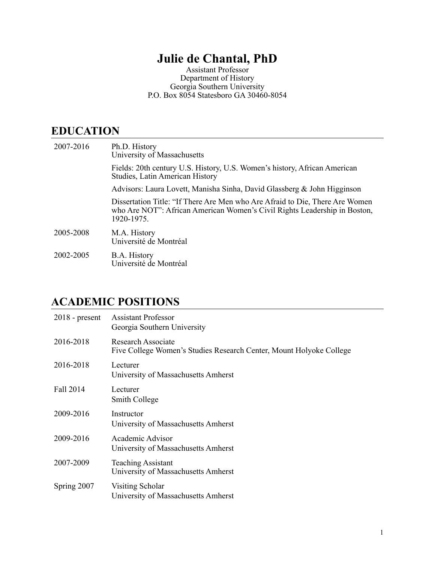## **Julie de Chantal, PhD**

Assistant Professor Department of History Georgia Southern University P.O. Box 8054 Statesboro GA 30460-8054

## **EDUCATION**

| 2007-2016 | Ph.D. History<br>University of Massachusetts                                                                                                                            |
|-----------|-------------------------------------------------------------------------------------------------------------------------------------------------------------------------|
|           | Fields: 20th century U.S. History, U.S. Women's history, African American<br>Studies, Latin American History                                                            |
|           | Advisors: Laura Lovett, Manisha Sinha, David Glassberg & John Higginson                                                                                                 |
|           | Dissertation Title: "If There Are Men who Are Afraid to Die, There Are Women<br>who Are NOT": African American Women's Civil Rights Leadership in Boston,<br>1920-1975. |
| 2005-2008 | M.A. History<br>Université de Montréal                                                                                                                                  |
| 2002-2005 | B.A. History<br>Université de Montréal                                                                                                                                  |

## **ACADEMIC POSITIONS**

| $2018$ - present | <b>Assistant Professor</b><br>Georgia Southern University                                 |
|------------------|-------------------------------------------------------------------------------------------|
| 2016-2018        | Research Associate<br>Five College Women's Studies Research Center, Mount Holyoke College |
| 2016-2018        | Lecturer<br>University of Massachusetts Amherst                                           |
| Fall 2014        | Lecturer<br>Smith College                                                                 |
| 2009-2016        | Instructor<br>University of Massachusetts Amherst                                         |
| 2009-2016        | Academic Advisor<br>University of Massachusetts Amherst                                   |
| 2007-2009        | <b>Teaching Assistant</b><br>University of Massachusetts Amherst                          |
| Spring 2007      | Visiting Scholar<br>University of Massachusetts Amherst                                   |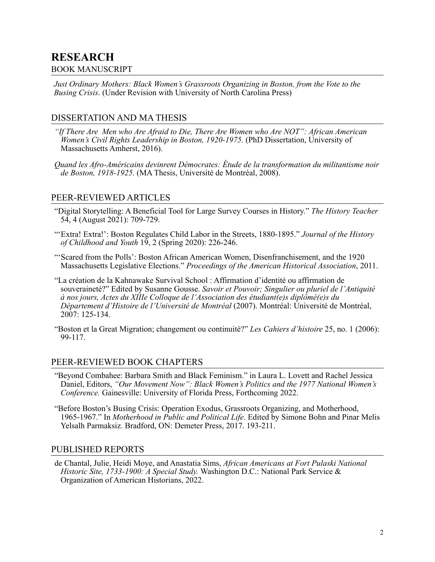## **RESEARCH**

#### BOOK MANUSCRIPT

*Just Ordinary Mothers: Black Women's Grassroots Organizing in Boston, from the Vote to the Busing Crisis*. (Under Revision with University of North Carolina Press)

## DISSERTATION AND MA THESIS

- *"If There Are Men who Are Afraid to Die, There Are Women who Are NOT": African American Women's Civil Rights Leadership in Boston, 1920-1975.* (PhD Dissertation, University of Massachusetts Amherst, 2016).
- *Quand les Afro-Américains devinrent Démocrates: Étude de la transformation du militantisme noir de Boston, 1918-1925*. (MA Thesis, Université de Montréal, 2008).

#### PEER-REVIEWED ARTICLES

- "Digital Storytelling: A Beneficial Tool for Large Survey Courses in History." *The History Teacher*  54, 4 (August 2021): 709-729.
- "'Extra! Extra!': Boston Regulates Child Labor in the Streets, 1880-1895." *Journal of the History of Childhood and Youth* 19, 2 (Spring 2020): 226-246.
- "'Scared from the Polls': Boston African American Women, Disenfranchisement, and the 1920 Massachusetts Legislative Elections." *Proceedings of the American Historical Association*, 2011.
- "La création de la Kahnawake Survival School : Affirmation d'identité ou affirmation de souveraineté?" Edited by Susanne Gousse. *Savoir et Pouvoir; Singulier ou pluriel de l'Antiquité à nos jours, Actes du XIIIe Colloque de l'Association des étudiant(e)s diplômé(e)s du Département d'Histoire de l'Université de Montréal* (2007). Montréal: Université de Montréal, 2007: 125-134.
- "Boston et la Great Migration; changement ou continuité?" *Les Cahiers d'histoire* 25, no. 1 (2006): 99-117.

#### PEER-REVIEWED BOOK CHAPTERS

- "Beyond Combahee: Barbara Smith and Black Feminism." in Laura L. Lovett and Rachel Jessica Daniel, Editors, *"Our Movement Now": Black Women's Politics and the 1977 National Women's Conference.* Gainesville: University of Florida Press, Forthcoming 2022.
- "Before Boston's Busing Crisis: Operation Exodus, Grassroots Organizing, and Motherhood, 1965-1967." In *Motherhood in Public and Political Life*. Edited by Simone Bohn and Pinar Melis Yelsalh Parmaksiz. Bradford, ON: Demeter Press, 2017. 193-211.

#### PUBLISHED REPORTS

de Chantal, Julie, Heidi Moye, and Anastatia Sims, *African Americans at Fort Pulaski National Historic Site, 1733-1900: A Special Study.* Washington D.C.: National Park Service & Organization of American Historians, 2022.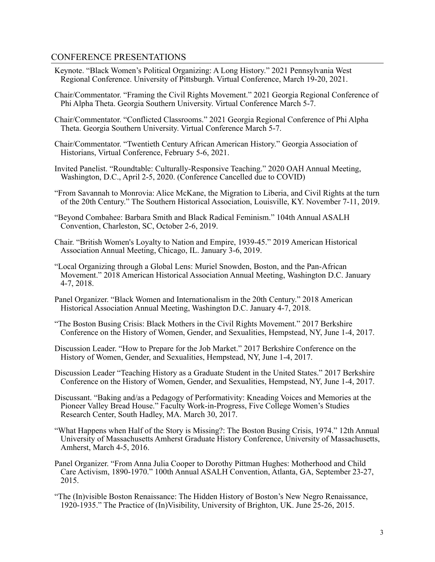#### CONFERENCE PRESENTATIONS

- Keynote. "Black Women's Political Organizing: A Long History." 2021 Pennsylvania West Regional Conference. University of Pittsburgh. Virtual Conference, March 19-20, 2021.
- Chair/Commentator. "Framing the Civil Rights Movement." 2021 Georgia Regional Conference of Phi Alpha Theta. Georgia Southern University. Virtual Conference March 5-7.
- Chair/Commentator. "Conflicted Classrooms." 2021 Georgia Regional Conference of Phi Alpha Theta. Georgia Southern University. Virtual Conference March 5-7.
- Chair/Commentator. "Twentieth Century African American History." Georgia Association of Historians, Virtual Conference, February 5-6, 2021.
- Invited Panelist. "Roundtable: Culturally-Responsive Teaching." 2020 OAH Annual Meeting, Washington, D.C., April 2-5, 2020. (Conference Cancelled due to COVID)
- "From Savannah to Monrovia: Alice McKane, the Migration to Liberia, and Civil Rights at the turn of the 20th Century." The Southern Historical Association, Louisville, KY. November 7-11, 2019.
- "Beyond Combahee: Barbara Smith and Black Radical Feminism." 104th Annual ASALH Convention, Charleston, SC, October 2-6, 2019.
- Chair. "British Women's Loyalty to Nation and Empire, 1939-45." 2019 American Historical Association Annual Meeting, Chicago, IL. January 3-6, 2019.
- "Local Organizing through a Global Lens: Muriel Snowden, Boston, and the Pan-African Movement." 2018 American Historical Association Annual Meeting, Washington D.C. January 4-7, 2018.
- Panel Organizer. "Black Women and Internationalism in the 20th Century." 2018 American Historical Association Annual Meeting, Washington D.C. January 4-7, 2018.
- "The Boston Busing Crisis: Black Mothers in the Civil Rights Movement." 2017 Berkshire Conference on the History of Women, Gender, and Sexualities, Hempstead, NY, June 1-4, 2017.
- Discussion Leader. "How to Prepare for the Job Market." 2017 Berkshire Conference on the History of Women, Gender, and Sexualities, Hempstead, NY, June 1-4, 2017.
- Discussion Leader "Teaching History as a Graduate Student in the United States." 2017 Berkshire Conference on the History of Women, Gender, and Sexualities, Hempstead, NY, June 1-4, 2017.
- Discussant. "Baking and/as a Pedagogy of Performativity: Kneading Voices and Memories at the Pioneer Valley Bread House." Faculty Work-in-Progress, Five College Women's Studies Research Center, South Hadley, MA. March 30, 2017.
- "What Happens when Half of the Story is Missing?: The Boston Busing Crisis, 1974." 12th Annual University of Massachusetts Amherst Graduate History Conference, University of Massachusetts, Amherst, March 4-5, 2016.
- Panel Organizer. "From Anna Julia Cooper to Dorothy Pittman Hughes: Motherhood and Child Care Activism, 1890-1970." 100th Annual ASALH Convention, Atlanta, GA, September 23-27, 2015.
- "The (In)visible Boston Renaissance: The Hidden History of Boston's New Negro Renaissance, 1920-1935." The Practice of (In)Visibility, University of Brighton, UK. June 25-26, 2015.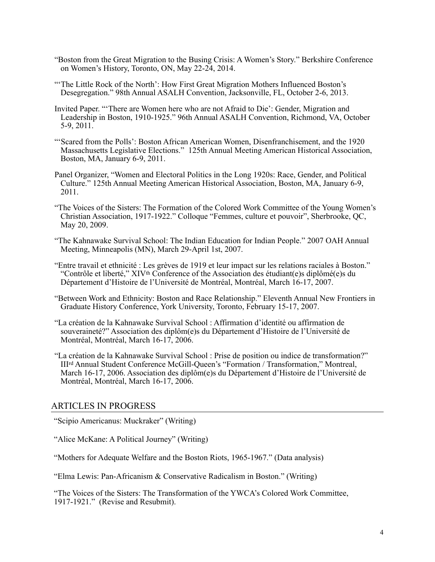- "Boston from the Great Migration to the Busing Crisis: A Women's Story." Berkshire Conference on Women's History, Toronto, ON, May 22-24, 2014.
- "'The Little Rock of the North': How First Great Migration Mothers Influenced Boston's Desegregation." 98th Annual ASALH Convention, Jacksonville, FL, October 2-6, 2013.
- Invited Paper. "'There are Women here who are not Afraid to Die': Gender, Migration and Leadership in Boston, 1910-1925." 96th Annual ASALH Convention, Richmond, VA, October 5-9, 2011.
- "'Scared from the Polls': Boston African American Women, Disenfranchisement, and the 1920 Massachusetts Legislative Elections." 125th Annual Meeting American Historical Association, Boston, MA, January 6-9, 2011.
- Panel Organizer, "Women and Electoral Politics in the Long 1920s: Race, Gender, and Political Culture." 125th Annual Meeting American Historical Association, Boston, MA, January 6-9, 2011.
- "The Voices of the Sisters: The Formation of the Colored Work Committee of the Young Women's Christian Association, 1917-1922." Colloque "Femmes, culture et pouvoir", Sherbrooke, QC, May 20, 2009.
- "The Kahnawake Survival School: The Indian Education for Indian People." 2007 OAH Annual Meeting, Minneapolis (MN), March 29-April 1st, 2007.
- "Entre travail et ethnicité : Les grèves de 1919 et leur impact sur les relations raciales à Boston." "Contrôle et liberté," XIVth Conference of the Association des étudiant(e)s diplômé(e)s du Département d'Histoire de l'Université de Montréal, Montréal, March 16-17, 2007.
- "Between Work and Ethnicity: Boston and Race Relationship." Eleventh Annual New Frontiers in Graduate History Conference, York University, Toronto, February 15-17, 2007.
- "La création de la Kahnawake Survival School : Affirmation d'identité ou affirmation de souveraineté?" Association des diplôm(e)s du Département d'Histoire de l'Université de Montréal, Montréal, March 16-17, 2006.
- "La création de la Kahnawake Survival School : Prise de position ou indice de transformation?" IIIrd Annual Student Conference McGill-Queen's "Formation / Transformation," Montreal, March 16-17, 2006. Association des diplôm(e)s du Département d'Histoire de l'Université de Montréal, Montréal, March 16-17, 2006.

#### ARTICLES IN PROGRESS

"Scipio Americanus: Muckraker" (Writing)

"Alice McKane: A Political Journey" (Writing)

"Mothers for Adequate Welfare and the Boston Riots, 1965-1967." (Data analysis)

"Elma Lewis: Pan-Africanism & Conservative Radicalism in Boston." (Writing)

"The Voices of the Sisters: The Transformation of the YWCA's Colored Work Committee, 1917-1921." (Revise and Resubmit).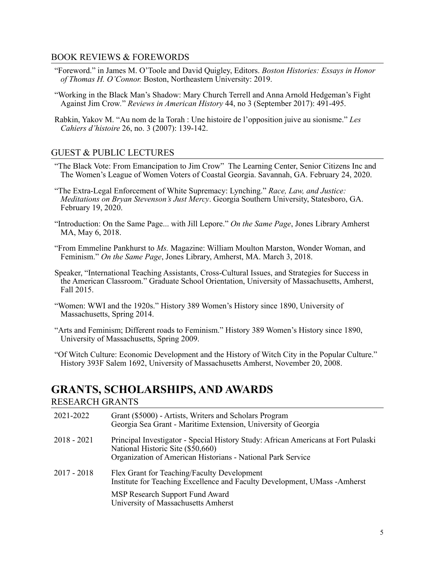#### BOOK REVIEWS & FOREWORDS

- "Foreword." in James M. O'Toole and David Quigley, Editors. *Boston Histories: Essays in Honor of Thomas H. O'Connor.* Boston, Northeastern University: 2019.
- "Working in the Black Man's Shadow: Mary Church Terrell and Anna Arnold Hedgeman's Fight Against Jim Crow*.*" *Reviews in American History* 44, no 3 (September 2017): 491-495.
- Rabkin, Yakov M. "Au nom de la Torah : Une histoire de l'opposition juive au sionisme." *Les Cahiers d'histoire* 26, no. 3 (2007): 139-142.

#### GUEST & PUBLIC LECTURES

- "The Black Vote: From Emancipation to Jim Crow" The Learning Center, Senior Citizens Inc and The Women's League of Women Voters of Coastal Georgia. Savannah, GA. February 24, 2020.
- "The Extra-Legal Enforcement of White Supremacy: Lynching." *Race, Law, and Justice: Meditations on Bryan Stevenson's Just Mercy*. Georgia Southern University, Statesboro, GA. February 19, 2020.
- "Introduction: On the Same Page... with Jill Lepore." *On the Same Page*, Jones Library Amherst MA, May 6, 2018.
- "From Emmeline Pankhurst to *Ms.* Magazine: William Moulton Marston, Wonder Woman, and Feminism." *On the Same Page*, Jones Library, Amherst, MA. March 3, 2018.
- Speaker, "International Teaching Assistants, Cross-Cultural Issues, and Strategies for Success in the American Classroom." Graduate School Orientation, University of Massachusetts, Amherst, Fall 2015.
- "Women: WWI and the 1920s." History 389 Women's History since 1890, University of Massachusetts, Spring 2014.
- "Arts and Feminism; Different roads to Feminism." History 389 Women's History since 1890, University of Massachusetts, Spring 2009.
- "Of Witch Culture: Economic Development and the History of Witch City in the Popular Culture." History 393F Salem 1692, University of Massachusetts Amherst, November 20, 2008.

# **GRANTS, SCHOLARSHIPS, AND AWARDS**

#### RESEARCH GRANTS

| 2021-2022     | Grant (\$5000) - Artists, Writers and Scholars Program<br>Georgia Sea Grant - Maritime Extension, University of Georgia                                                               |
|---------------|---------------------------------------------------------------------------------------------------------------------------------------------------------------------------------------|
| $2018 - 2021$ | Principal Investigator - Special History Study: African Americans at Fort Pulaski<br>National Historic Site (\$50,660)<br>Organization of American Historians - National Park Service |
| $2017 - 2018$ | Flex Grant for Teaching/Faculty Development<br>Institute for Teaching Excellence and Faculty Development, UMass -Amherst                                                              |
|               | MSP Research Support Fund Award<br>University of Massachusetts Amherst                                                                                                                |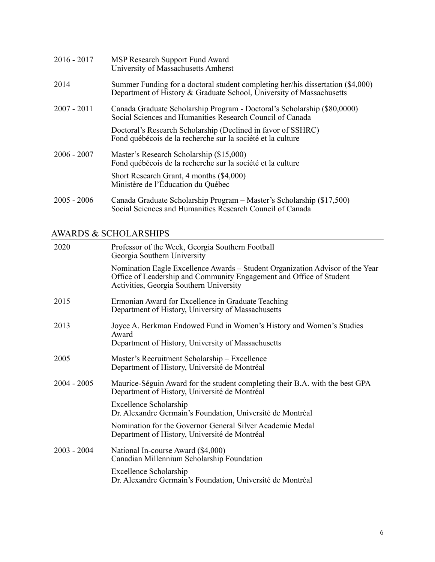| $2016 - 2017$ | MSP Research Support Fund Award<br>University of Massachusetts Amherst                                                                                  |
|---------------|---------------------------------------------------------------------------------------------------------------------------------------------------------|
| 2014          | Summer Funding for a doctoral student completing her/his dissertation (\$4,000)<br>Department of History & Graduate School, University of Massachusetts |
| $2007 - 2011$ | Canada Graduate Scholarship Program - Doctoral's Scholarship (\$80,0000)<br>Social Sciences and Humanities Research Council of Canada                   |
|               | Doctoral's Research Scholarship (Declined in favor of SSHRC)<br>Fond québécois de la recherche sur la société et la culture                             |
| $2006 - 2007$ | Master's Research Scholarship (\$15,000)<br>Fond québécois de la recherche sur la société et la culture                                                 |
|               | Short Research Grant, 4 months (\$4,000)<br>Ministère de l'Éducation du Québec                                                                          |
| $2005 - 2006$ | Canada Graduate Scholarship Program – Master's Scholarship (\$17,500)<br>Social Sciences and Humanities Research Council of Canada                      |

## AWARDS & SCHOLARSHIPS

| 2020          | Professor of the Week, Georgia Southern Football<br>Georgia Southern University                                                                                                                 |
|---------------|-------------------------------------------------------------------------------------------------------------------------------------------------------------------------------------------------|
|               | Nomination Eagle Excellence Awards - Student Organization Advisor of the Year<br>Office of Leadership and Community Engagement and Office of Student<br>Activities, Georgia Southern University |
| 2015          | Ermonian Award for Excellence in Graduate Teaching<br>Department of History, University of Massachusetts                                                                                        |
| 2013          | Joyce A. Berkman Endowed Fund in Women's History and Women's Studies<br>Award<br>Department of History, University of Massachusetts                                                             |
| 2005          | Master's Recruitment Scholarship - Excellence<br>Department of History, Université de Montréal                                                                                                  |
| $2004 - 2005$ | Maurice-Séguin Award for the student completing their B.A. with the best GPA<br>Department of History, Université de Montréal                                                                   |
|               | Excellence Scholarship<br>Dr. Alexandre Germain's Foundation, Université de Montréal                                                                                                            |
|               | Nomination for the Governor General Silver Academic Medal<br>Department of History, Université de Montréal                                                                                      |
| $2003 - 2004$ | National In-course Award (\$4,000)<br>Canadian Millennium Scholarship Foundation                                                                                                                |
|               | Excellence Scholarship<br>Dr. Alexandre Germain's Foundation, Université de Montréal                                                                                                            |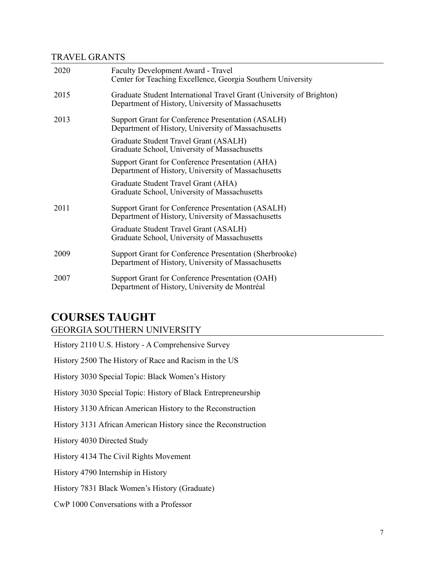## TRAVEL GRANTS

| 2020 | <b>Faculty Development Award - Travel</b><br>Center for Teaching Excellence, Georgia Southern University                   |
|------|----------------------------------------------------------------------------------------------------------------------------|
| 2015 | Graduate Student International Travel Grant (University of Brighton)<br>Department of History, University of Massachusetts |
| 2013 | Support Grant for Conference Presentation (ASALH)<br>Department of History, University of Massachusetts                    |
|      | Graduate Student Travel Grant (ASALH)<br>Graduate School, University of Massachusetts                                      |
|      | Support Grant for Conference Presentation (AHA)<br>Department of History, University of Massachusetts                      |
|      | Graduate Student Travel Grant (AHA)<br>Graduate School, University of Massachusetts                                        |
| 2011 | Support Grant for Conference Presentation (ASALH)<br>Department of History, University of Massachusetts                    |
|      | Graduate Student Travel Grant (ASALH)<br>Graduate School, University of Massachusetts                                      |
| 2009 | Support Grant for Conference Presentation (Sherbrooke)<br>Department of History, University of Massachusetts               |
| 2007 | Support Grant for Conference Presentation (OAH)<br>Department of History, University de Montréal                           |

## **COURSES TAUGHT** GEORGIA SOUTHERN UNIVERSITY

| History 2110 U.S. History - A Comprehensive Survey             |
|----------------------------------------------------------------|
| History 2500 The History of Race and Racism in the US          |
| History 3030 Special Topic: Black Women's History              |
| History 3030 Special Topic: History of Black Entrepreneurship  |
| History 3130 African American History to the Reconstruction    |
| History 3131 African American History since the Reconstruction |
| History 4030 Directed Study                                    |
| History 4134 The Civil Rights Movement                         |
| History 4790 Internship in History                             |
| History 7831 Black Women's History (Graduate)                  |
| CwP 1000 Conversations with a Professor                        |
|                                                                |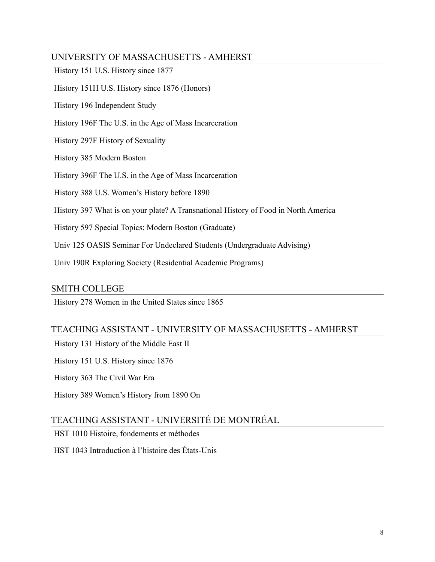## UNIVERSITY OF MASSACHUSETTS - AMHERST

| History 151 U.S. History since 1877                                                 |
|-------------------------------------------------------------------------------------|
| History 151H U.S. History since 1876 (Honors)                                       |
| History 196 Independent Study                                                       |
| History 196F The U.S. in the Age of Mass Incarceration                              |
| History 297F History of Sexuality                                                   |
| History 385 Modern Boston                                                           |
| History 396F The U.S. in the Age of Mass Incarceration                              |
| History 388 U.S. Women's History before 1890                                        |
| History 397 What is on your plate? A Transnational History of Food in North America |
| History 597 Special Topics: Modern Boston (Graduate)                                |
| Univ 125 OASIS Seminar For Undeclared Students (Undergraduate Advising)             |
| Univ 190R Exploring Society (Residential Academic Programs)                         |
|                                                                                     |

#### SMITH COLLEGE

History 278 Women in the United States since 1865

## TEACHING ASSISTANT - UNIVERSITY OF MASSACHUSETTS - AMHERST

History 131 History of the Middle East II

History 151 U.S. History since 1876

History 363 The Civil War Era

History 389 Women's History from 1890 On

## TEACHING ASSISTANT - UNIVERSITÉ DE MONTRÉAL

HST 1010 Histoire, fondements et méthodes

HST 1043 Introduction à l'histoire des États-Unis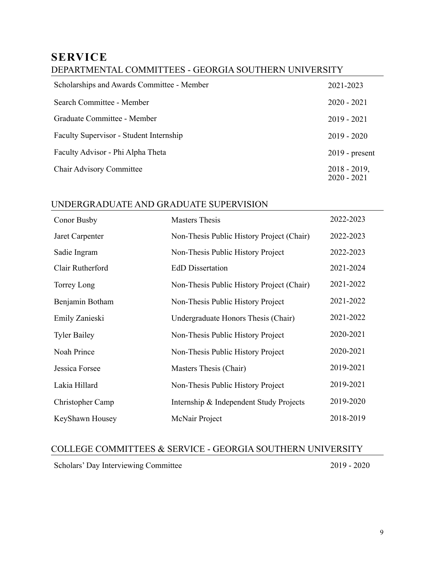## **SERVICE**

## DEPARTMENTAL COMMITTEES - GEORGIA SOUTHERN UNIVERSITY

| Scholarships and Awards Committee - Member | 2021-2023                        |
|--------------------------------------------|----------------------------------|
| Search Committee - Member                  | $2020 - 2021$                    |
| Graduate Committee - Member                | $2019 - 2021$                    |
| Faculty Supervisor - Student Internship    | $2019 - 2020$                    |
| Faculty Advisor - Phi Alpha Theta          | $2019$ - present                 |
| <b>Chair Advisory Committee</b>            | $2018 - 2019$ ,<br>$2020 - 2021$ |

## UNDERGRADUATE AND GRADUATE SUPERVISION

| Conor Busby         | <b>Masters Thesis</b>                     | 2022-2023 |
|---------------------|-------------------------------------------|-----------|
| Jaret Carpenter     | Non-Thesis Public History Project (Chair) | 2022-2023 |
| Sadie Ingram        | Non-Thesis Public History Project         | 2022-2023 |
| Clair Rutherford    | <b>EdD</b> Dissertation                   | 2021-2024 |
| Torrey Long         | Non-Thesis Public History Project (Chair) | 2021-2022 |
| Benjamin Botham     | Non-Thesis Public History Project         | 2021-2022 |
| Emily Zanieski      | Undergraduate Honors Thesis (Chair)       | 2021-2022 |
| <b>Tyler Bailey</b> | Non-Thesis Public History Project         | 2020-2021 |
| Noah Prince         | Non-Thesis Public History Project         | 2020-2021 |
| Jessica Forsee      | Masters Thesis (Chair)                    | 2019-2021 |
| Lakia Hillard       | Non-Thesis Public History Project         | 2019-2021 |
| Christopher Camp    | Internship & Independent Study Projects   | 2019-2020 |
| KeyShawn Housey     | McNair Project                            | 2018-2019 |

## COLLEGE COMMITTEES & SERVICE - GEORGIA SOUTHERN UNIVERSITY

Scholars' Day Interviewing Committee 2019 - 2020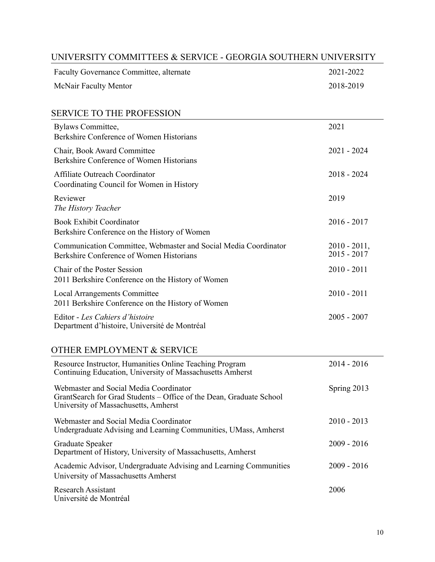| UNIVERSITY COMMITTEES & SERVICE - GEORGIA SOUTHERN UNIVERSITY                                                                                         |                                 |  |
|-------------------------------------------------------------------------------------------------------------------------------------------------------|---------------------------------|--|
| Faculty Governance Committee, alternate                                                                                                               | 2021-2022                       |  |
| McNair Faculty Mentor                                                                                                                                 | 2018-2019                       |  |
| <b>SERVICE TO THE PROFESSION</b>                                                                                                                      |                                 |  |
| <b>Bylaws Committee,</b><br>Berkshire Conference of Women Historians                                                                                  | 2021                            |  |
| Chair, Book Award Committee<br>Berkshire Conference of Women Historians                                                                               | $2021 - 2024$                   |  |
| Affiliate Outreach Coordinator<br>Coordinating Council for Women in History                                                                           | $2018 - 2024$                   |  |
| Reviewer<br>The History Teacher                                                                                                                       | 2019                            |  |
| <b>Book Exhibit Coordinator</b><br>Berkshire Conference on the History of Women                                                                       | $2016 - 2017$                   |  |
| Communication Committee, Webmaster and Social Media Coordinator<br>Berkshire Conference of Women Historians                                           | $2010 - 2011,$<br>$2015 - 2017$ |  |
| Chair of the Poster Session<br>2011 Berkshire Conference on the History of Women                                                                      | $2010 - 2011$                   |  |
| <b>Local Arrangements Committee</b><br>2011 Berkshire Conference on the History of Women                                                              | $2010 - 2011$                   |  |
| Editor - Les Cahiers d'histoire<br>Department d'histoire, Université de Montréal                                                                      | $2005 - 2007$                   |  |
| OTHER EMPLOYMENT & SERVICE                                                                                                                            |                                 |  |
| Resource Instructor, Humanities Online Teaching Program<br>Continuing Education, University of Massachusetts Amherst                                  | $2014 - 2016$                   |  |
| Webmaster and Social Media Coordinator<br>GrantSearch for Grad Students - Office of the Dean, Graduate School<br>University of Massachusetts, Amherst | Spring 2013                     |  |
| Webmaster and Social Media Coordinator<br>Undergraduate Advising and Learning Communities, UMass, Amherst                                             | $2010 - 2013$                   |  |
| Graduate Speaker<br>Department of History, University of Massachusetts, Amherst                                                                       | $2009 - 2016$                   |  |
| Academic Advisor, Undergraduate Advising and Learning Communities<br>University of Massachusetts Amherst                                              | $2009 - 2016$                   |  |

Research Assistant Université de Montréal

2006